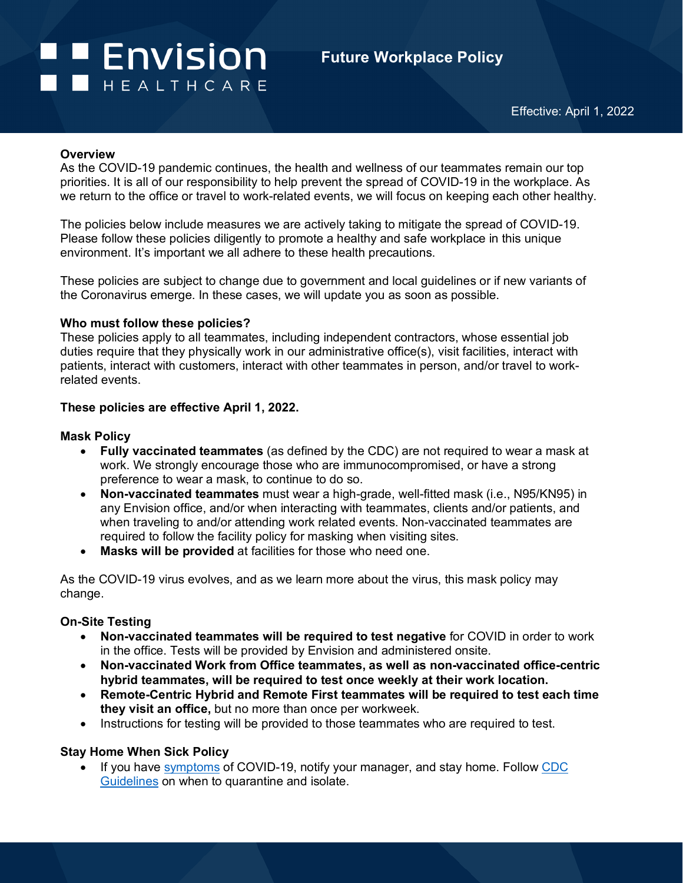# **Example 1 Formula** I **I** HEALTHCARE

# **Future Workplace Policy**

#### **Overview**

As the COVID-19 pandemic continues, the health and wellness of our teammates remain our top priorities. It is all of our responsibility to help prevent the spread of COVID-19 in the workplace. As we return to the office or travel to work-related events, we will focus on keeping each other healthy.

The policies below include measures we are actively taking to mitigate the spread of COVID-19. Please follow these policies diligently to promote a healthy and safe workplace in this unique environment. It's important we all adhere to these health precautions.

These policies are subject to change due to government and local guidelines or if new variants of the Coronavirus emerge. In these cases, we will update you as soon as possible.

#### **Who must follow these policies?**

These policies apply to all teammates, including independent contractors, whose essential job duties require that they physically work in our administrative office(s), visit facilities, interact with patients, interact with customers, interact with other teammates in person, and/or travel to workrelated events.

#### **These policies are effective April 1, 2022.**

#### **Mask Policy**

- **Fully vaccinated teammates** (as defined by the CDC) are not required to wear a mask at work. We strongly encourage those who are immunocompromised, or have a strong preference to wear a mask, to continue to do so.
- **Non-vaccinated teammates** must wear a high-grade, well-fitted mask (i.e., N95/KN95) in any Envision office, and/or when interacting with teammates, clients and/or patients, and when traveling to and/or attending work related events. Non-vaccinated teammates are required to follow the facility policy for masking when visiting sites.
- **Masks will be provided** at facilities for those who need one.

As the COVID-19 virus evolves, and as we learn more about the virus, this mask policy may change.

#### **On-Site Testing**

- **Non-vaccinated teammates will be required to test negative** for COVID in order to work in the office. Tests will be provided by Envision and administered onsite.
- **Non-vaccinated Work from Office teammates, as well as non-vaccinated office-centric hybrid teammates, will be required to test once weekly at their work location.**
- **Remote-Centric Hybrid and Remote First teammates will be required to test each time they visit an office,** but no more than once per workweek.
- Instructions for testing will be provided to those teammates who are required to test.

#### **Stay Home When Sick Policy**

• If you have [symptoms](https://www.cdc.gov/coronavirus/2019-ncov/symptoms-testing/symptoms.html) of COVID-19, notify your manager, and stay home. Follow CDC [Guidelines](https://www.cdc.gov/coronavirus/2019-ncov/your-health/quarantine-isolation.html) on when to quarantine and isolate.